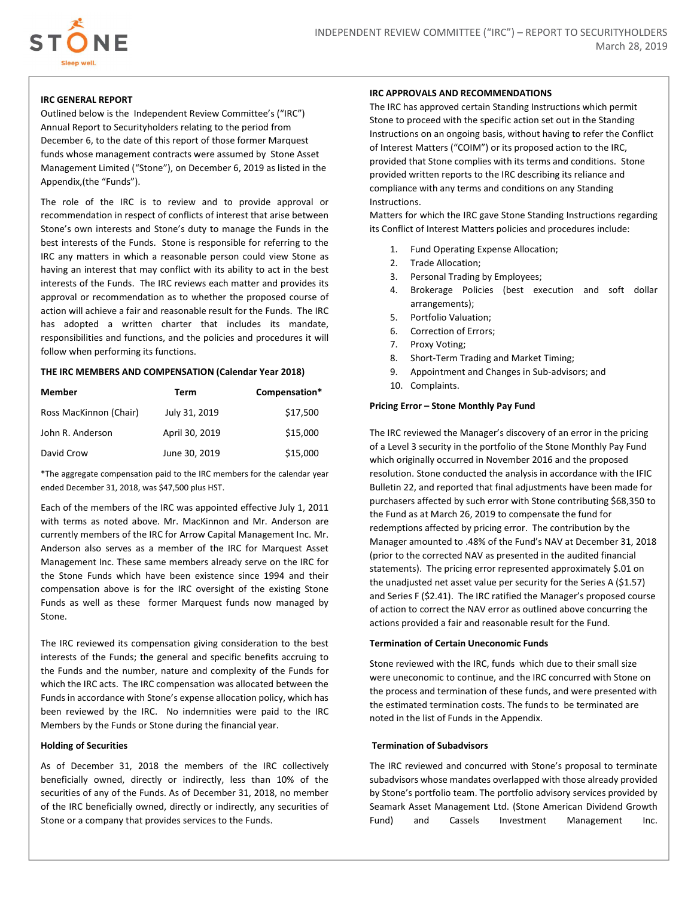

# IRC GENERAL REPORT

Outlined below is the Independent Review Committee's ("IRC") Annual Report to Securityholders relating to the period from December 6, to the date of this report of those former Marquest funds whose management contracts were assumed by Stone Asset Management Limited ("Stone"), on December 6, 2019 as listed in the Appendix,(the "Funds").

The role of the IRC is to review and to provide approval or recommendation in respect of conflicts of interest that arise between Stone's own interests and Stone's duty to manage the Funds in the best interests of the Funds. Stone is responsible for referring to the IRC any matters in which a reasonable person could view Stone as having an interest that may conflict with its ability to act in the best interests of the Funds. The IRC reviews each matter and provides its approval or recommendation as to whether the proposed course of action will achieve a fair and reasonable result for the Funds. The IRC has adopted a written charter that includes its mandate, responsibilities and functions, and the policies and procedures it will follow when performing its functions.

## THE IRC MEMBERS AND COMPENSATION (Calendar Year 2018)

| <b>Member</b>          | Term           | Compensation* |
|------------------------|----------------|---------------|
| Ross MacKinnon (Chair) | July 31, 2019  | \$17,500      |
| John R. Anderson       | April 30, 2019 | \$15,000      |
| David Crow             | June 30, 2019  | \$15,000      |

\*The aggregate compensation paid to the IRC members for the calendar year ended December 31, 2018, was \$47,500 plus HST.

Each of the members of the IRC was appointed effective July 1, 2011 with terms as noted above. Mr. MacKinnon and Mr. Anderson are currently members of the IRC for Arrow Capital Management Inc. Mr. Anderson also serves as a member of the IRC for Marquest Asset Management Inc. These same members already serve on the IRC for the Stone Funds which have been existence since 1994 and their compensation above is for the IRC oversight of the existing Stone Funds as well as these former Marquest funds now managed by Stone.

The IRC reviewed its compensation giving consideration to the best interests of the Funds; the general and specific benefits accruing to the Funds and the number, nature and complexity of the Funds for which the IRC acts. The IRC compensation was allocated between the Funds in accordance with Stone's expense allocation policy, which has been reviewed by the IRC. No indemnities were paid to the IRC Members by the Funds or Stone during the financial year.

# Holding of Securities

As of December 31, 2018 the members of the IRC collectively beneficially owned, directly or indirectly, less than 10% of the securities of any of the Funds. As of December 31, 2018, no member of the IRC beneficially owned, directly or indirectly, any securities of Stone or a company that provides services to the Funds.

### IRC APPROVALS AND RECOMMENDATIONS

The IRC has approved certain Standing Instructions which permit Stone to proceed with the specific action set out in the Standing Instructions on an ongoing basis, without having to refer the Conflict of Interest Matters ("COIM") or its proposed action to the IRC, provided that Stone complies with its terms and conditions. Stone provided written reports to the IRC describing its reliance and compliance with any terms and conditions on any Standing Instructions.

Matters for which the IRC gave Stone Standing Instructions regarding its Conflict of Interest Matters policies and procedures include:

- 1. Fund Operating Expense Allocation;
- 2. Trade Allocation;
- 3. Personal Trading by Employees;
- 4. Brokerage Policies (best execution and soft dollar arrangements);
- 5. Portfolio Valuation;
- 6. Correction of Errors;
- 7. Proxy Voting;
- 8. Short-Term Trading and Market Timing;
- 9. Appointment and Changes in Sub-advisors; and
- 10. Complaints.

#### Pricing Error – Stone Monthly Pay Fund

The IRC reviewed the Manager's discovery of an error in the pricing of a Level 3 security in the portfolio of the Stone Monthly Pay Fund which originally occurred in November 2016 and the proposed resolution. Stone conducted the analysis in accordance with the IFIC Bulletin 22, and reported that final adjustments have been made for purchasers affected by such error with Stone contributing \$68,350 to the Fund as at March 26, 2019 to compensate the fund for redemptions affected by pricing error. The contribution by the Manager amounted to .48% of the Fund's NAV at December 31, 2018 (prior to the corrected NAV as presented in the audited financial statements). The pricing error represented approximately \$.01 on the unadjusted net asset value per security for the Series A (\$1.57) and Series F (\$2.41). The IRC ratified the Manager's proposed course of action to correct the NAV error as outlined above concurring the actions provided a fair and reasonable result for the Fund.

#### Termination of Certain Uneconomic Funds

Stone reviewed with the IRC, funds which due to their small size were uneconomic to continue, and the IRC concurred with Stone on the process and termination of these funds, and were presented with the estimated termination costs. The funds to be terminated are noted in the list of Funds in the Appendix.

# Termination of Subadvisors

The IRC reviewed and concurred with Stone's proposal to terminate subadvisors whose mandates overlapped with those already provided by Stone's portfolio team. The portfolio advisory services provided by Seamark Asset Management Ltd. (Stone American Dividend Growth Fund) and Cassels Investment Management Inc.